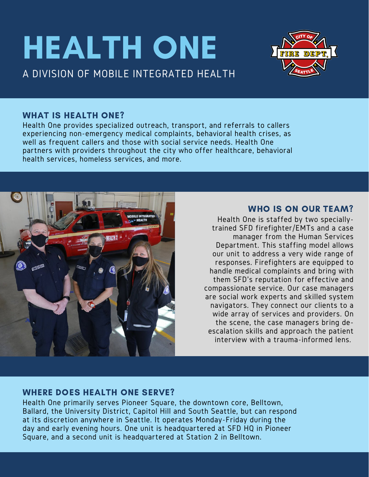# HEALTH ONE A DIVISION OF MOBILE INTEGRATED HEALTH



### WHAT IS HEALTH ONE?

Health One provides specialized outreach, transport, and referrals to callers experiencing non-emergency medical complaints, behavioral health crises, as well as frequent callers and those with social service needs. Health One partners with providers throughout the city who offer healthcare, behavioral health services, homeless services, and more.



# WHO IS ON OUR TEAM?

Health One is staffed by two speciallytrained SFD firefighter/EMTs and a case manager from the Human Services Department. This staffing model allows our unit to address a very wide range of responses. Firefighters are equipped to handle medical complaints and bring with them SFD's reputation for effective and compassionate service. Our case managers are social work experts and skilled system navigators. They connect our clients to a wide array of services and providers. On the scene, the case managers bring deescalation skills and approach the patient interview with a trauma-informed lens.

# WHERE DOES HEALTH ONE SERVE?

Health One primarily serves Pioneer Square, the downtown core, Belltown, Ballard, the University District, Capitol Hill and South Seattle, but can respond at its discretion anywhere in Seattle. It operates Monday-Friday during the day and early evening hours. One unit is headquartered at SFD HQ in Pioneer Square, and a second unit is headquartered at Station 2 in Belltown.